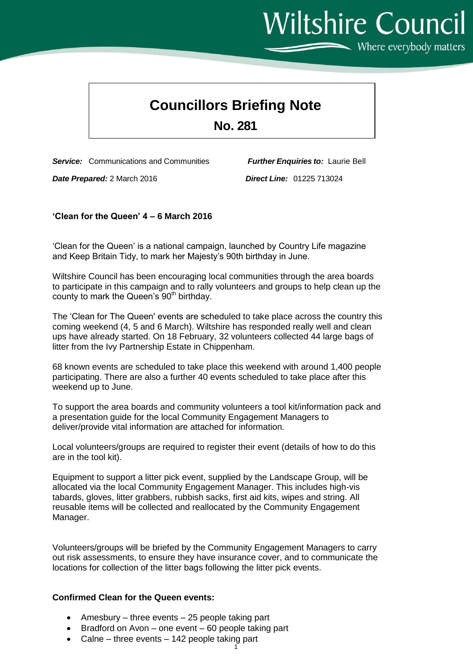**Councillors Briefing Note**

## **No. 281**

*Service:* Communications and Communities *Further Enquiries to:* Laurie Bell

*Date Prepared:* 2 March 2016 *Direct Line:* 01225 713024

## **'Clean for the Queen' 4 – 6 March 2016**

'Clean for the Queen' is a national campaign, launched by Country Life magazine and Keep Britain Tidy, to mark her Majesty's 90th birthday in June.

Wiltshire Council has been encouraging local communities through the area boards to participate in this campaign and to rally volunteers and groups to help clean up the county to mark the Queen's  $90<sup>th</sup>$  birthday.

The 'Clean for The Queen' events are scheduled to take place across the country this coming weekend (4, 5 and 6 March). Wiltshire has responded really well and clean ups have already started. On 18 February, 32 volunteers collected 44 large bags of litter from the Ivy Partnership Estate in Chippenham.

68 known events are scheduled to take place this weekend with around 1,400 people participating. There are also a further 40 events scheduled to take place after this weekend up to June.

To support the area boards and community volunteers a tool kit/information pack and a presentation guide for the local Community Engagement Managers to deliver/provide vital information are attached for information.

Local volunteers/groups are required to register their event (details of how to do this are in the tool kit).

Equipment to support a litter pick event, supplied by the Landscape Group, will be allocated via the local Community Engagement Manager. This includes high-vis tabards, gloves, litter grabbers, rubbish sacks, first aid kits, wipes and string. All reusable items will be collected and reallocated by the Community Engagement Manager.

Volunteers/groups will be briefed by the Community Engagement Managers to carry out risk assessments, to ensure they have insurance cover, and to communicate the locations for collection of the litter bags following the litter pick events.

## **Confirmed Clean for the Queen events:**

- Amesbury three events 25 people taking part
- Bradford on Avon one event 60 people taking part
- 1 Calne – three events – 142 people taking part